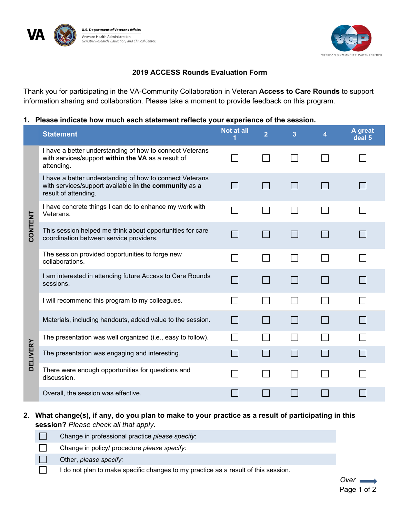



## **2019 ACCESS Rounds Evaluation Form**

Thank you for participating in the VA-Community Collaboration in Veteran **Access to Care Rounds** to support information sharing and collaboration. Please take a moment to provide feedback on this program.

## **1. Please indicate how much each statement reflects your experience of the session.**

|                 | <b>Statement</b>                                                                                                                          | <b>Not at all</b> | $\overline{2}$ | 3 | A great<br>deal 5 |
|-----------------|-------------------------------------------------------------------------------------------------------------------------------------------|-------------------|----------------|---|-------------------|
| <b>CONTENT</b>  | I have a better understanding of how to connect Veterans<br>with services/support within the VA as a result of<br>attending.              |                   |                |   |                   |
|                 | I have a better understanding of how to connect Veterans<br>with services/support available in the community as a<br>result of attending. |                   |                |   |                   |
|                 | I have concrete things I can do to enhance my work with<br>Veterans.                                                                      |                   |                |   |                   |
|                 | This session helped me think about opportunities for care<br>coordination between service providers.                                      |                   |                |   |                   |
|                 | The session provided opportunities to forge new<br>collaborations.                                                                        |                   |                |   |                   |
|                 | I am interested in attending future Access to Care Rounds<br>sessions.                                                                    |                   |                |   |                   |
| <b>DELIVERY</b> | I will recommend this program to my colleagues.                                                                                           |                   |                |   |                   |
|                 | Materials, including handouts, added value to the session.                                                                                |                   |                |   |                   |
|                 | The presentation was well organized (i.e., easy to follow).                                                                               |                   |                |   |                   |
|                 | The presentation was engaging and interesting.                                                                                            |                   |                |   |                   |
|                 | There were enough opportunities for questions and<br>discussion.                                                                          |                   |                |   |                   |
|                 | Overall, the session was effective.                                                                                                       |                   |                |   |                   |

## **2. What change(s), if any, do you plan to make to your practice as a result of participating in this session?** *Please check all that apply.*

| Change in professional practice please specify:                                    |
|------------------------------------------------------------------------------------|
| Change in policy/ procedure please specify:                                        |
| Other, please specify:                                                             |
| I do not plan to make specific changes to my practice as a result of this session. |